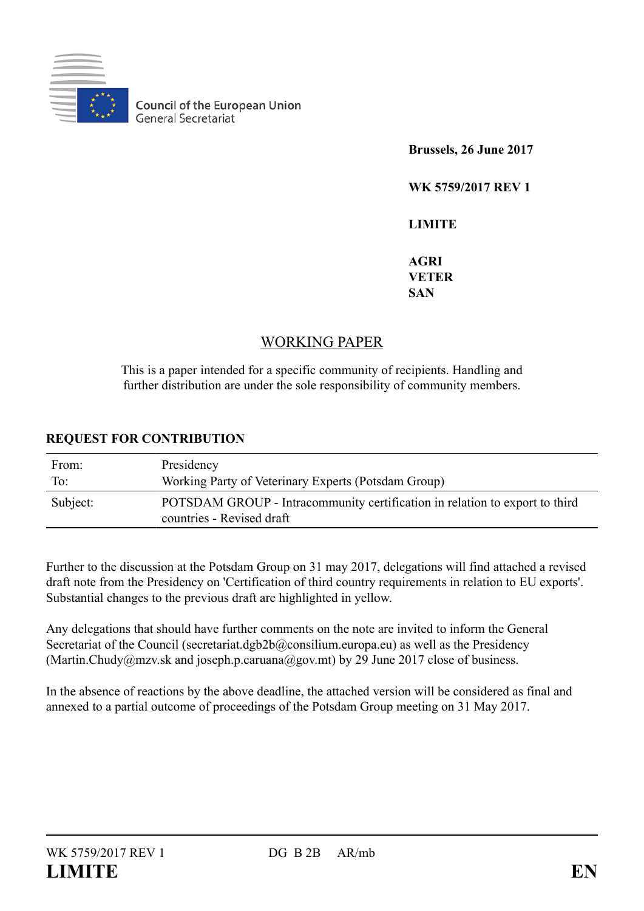

**Council of the European Union** General Secretariat

**Brussels, 26 June 2017**

**WK 5759/2017 REV 1**

**LIMITE**

**AGRI VETER SAN**

## WORKING PAPER

This is a paper intended for a specific community of recipients. Handling and further distribution are under the sole responsibility of community members.

## **REQUEST FOR CONTRIBUTION**

| From:    | Presidency                                                                                               |
|----------|----------------------------------------------------------------------------------------------------------|
| To:      | Working Party of Veterinary Experts (Potsdam Group)                                                      |
| Subject: | POTSDAM GROUP - Intracommunity certification in relation to export to third<br>countries - Revised draft |

Further to the discussion at the Potsdam Group on 31 may 2017, delegations will find attached a revised draft note from the Presidency on 'Certification of third country requirements in relation to EU exports'. Substantial changes to the previous draft are highlighted in yellow.

Any delegations that should have further comments on the note are invited to inform the General Secretariat of the Council (secretariat.dgb2b@consilium.europa.eu) as well as the Presidency (Martin.Chudy@mzv.sk and joseph.p.caruana@gov.mt) by 29 June 2017 close of business.

In the absence of reactions by the above deadline, the attached version will be considered as final and annexed to a partial outcome of proceedings of the Potsdam Group meeting on 31 May 2017.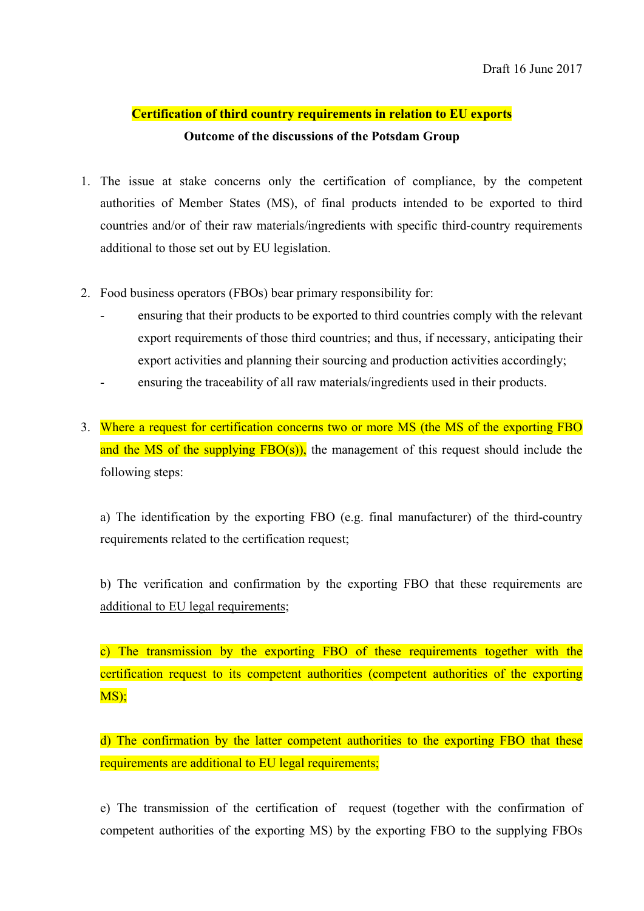## **Certification of third country requirements in relation to EU exports Outcome of the discussions of the Potsdam Group**

- 1. The issue at stake concerns only the certification of compliance, by the competent authorities of Member States (MS), of final products intended to be exported to third countries and/or of their raw materials/ingredients with specific third-country requirements additional to those set out by EU legislation.
- 2. Food business operators (FBOs) bear primary responsibility for:
	- ensuring that their products to be exported to third countries comply with the relevant export requirements of those third countries; and thus, if necessary, anticipating their export activities and planning their sourcing and production activities accordingly;
	- ensuring the traceability of all raw materials/ingredients used in their products.
- 3. Where a request for certification concerns two or more MS (the MS of the exporting FBO and the MS of the supplying  $FBO(s)$ , the management of this request should include the following steps:

a) The identification by the exporting FBO (e.g. final manufacturer) of the third-country requirements related to the certification request;

b) The verification and confirmation by the exporting FBO that these requirements are additional to EU legal requirements;

c) The transmission by the exporting FBO of these requirements together with the certification request to its competent authorities (competent authorities of the exporting MS);

d) The confirmation by the latter competent authorities to the exporting FBO that these requirements are additional to EU legal requirements;

e) The transmission of the certification of request (together with the confirmation of competent authorities of the exporting MS) by the exporting FBO to the supplying FBOs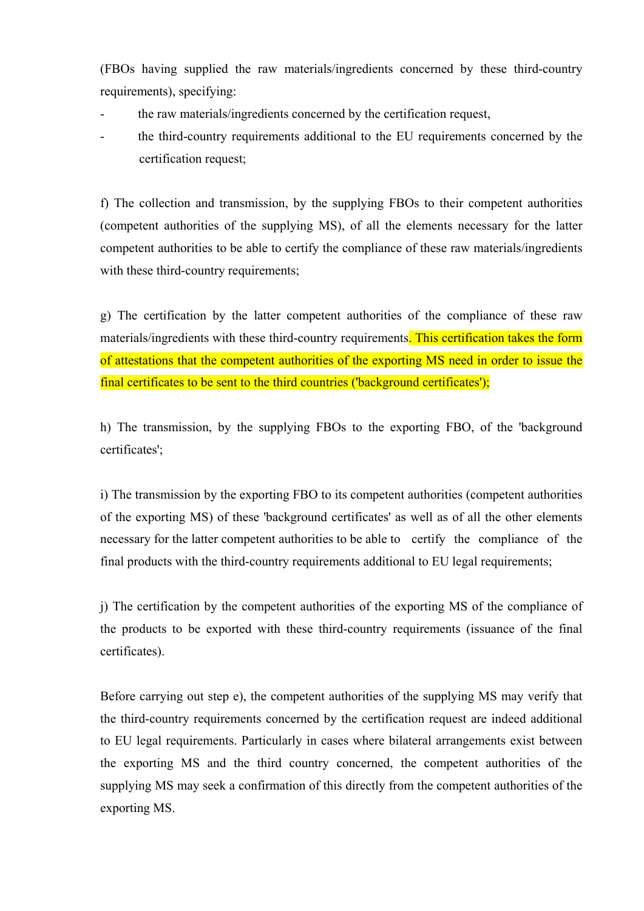(FBOs having supplied the raw materials/ingredients concerned by these third-country requirements), specifying:

- the raw materials/ingredients concerned by the certification request,
- the third-country requirements additional to the EU requirements concerned by the certification request;

f) The collection and transmission, by the supplying FBOs to their competent authorities (competent authorities of the supplying MS), of all the elements necessary for the latter competent authorities to be able to certify the compliance of these raw materials/ingredients with these third-country requirements;

g) The certification by the latter competent authorities of the compliance of these raw materials/ingredients with these third-country requirements. This certification takes the form of attestations that the competent authorities of the exporting MS need in order to issue the final certificates to be sent to the third countries ('background certificates');

h) The transmission, by the supplying FBOs to the exporting FBO, of the 'background certificates';

i) The transmission by the exporting FBO to its competent authorities (competent authorities of the exporting MS) of these 'background certificates' as well as of all the other elements necessary for the latter competent authorities to be able to certify the compliance of the final products with the third-country requirements additional to EU legal requirements;

j) The certification by the competent authorities of the exporting MS of the compliance of the products to be exported with these third-country requirements (issuance of the final certificates).

Before carrying out step e), the competent authorities of the supplying MS may verify that the third-country requirements concerned by the certification request are indeed additional to EU legal requirements. Particularly in cases where bilateral arrangements exist between the exporting MS and the third country concerned, the competent authorities of the supplying MS may seek a confirmation of this directly from the competent authorities of the exporting MS.